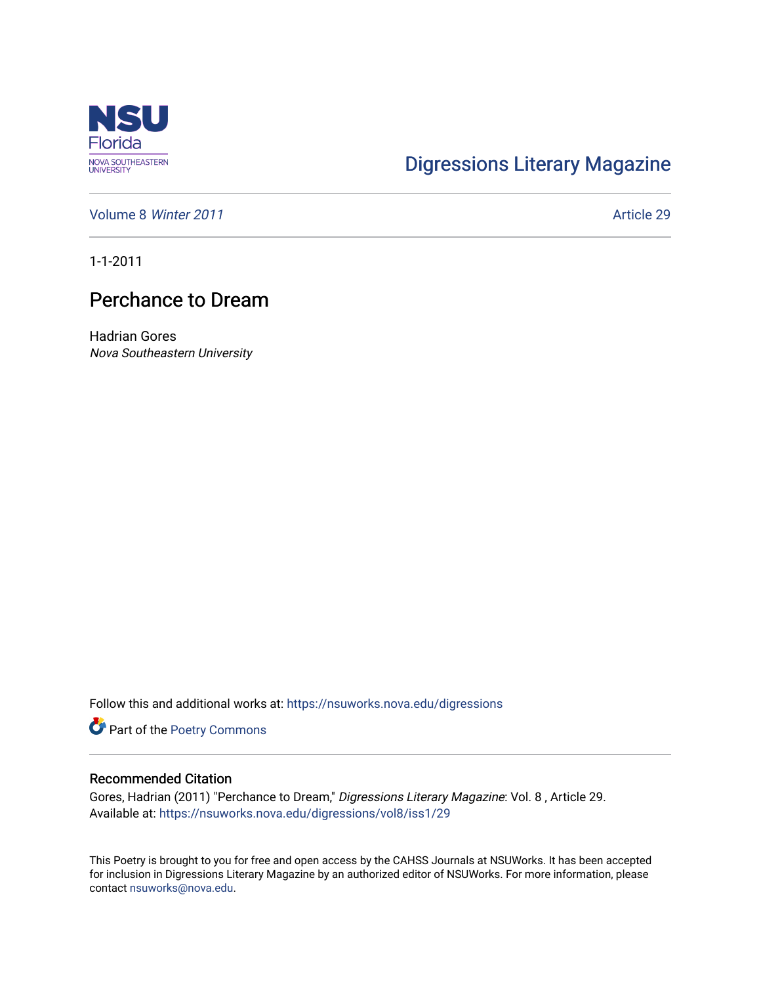

## [Digressions Literary Magazine](https://nsuworks.nova.edu/digressions)

[Volume 8](https://nsuworks.nova.edu/digressions/vol8) Winter 2011 **Article 29** Article 29

1-1-2011

## Perchance to Dream

Hadrian Gores Nova Southeastern University

Follow this and additional works at: [https://nsuworks.nova.edu/digressions](https://nsuworks.nova.edu/digressions?utm_source=nsuworks.nova.edu%2Fdigressions%2Fvol8%2Fiss1%2F29&utm_medium=PDF&utm_campaign=PDFCoverPages) 

Part of the [Poetry Commons](http://network.bepress.com/hgg/discipline/1153?utm_source=nsuworks.nova.edu%2Fdigressions%2Fvol8%2Fiss1%2F29&utm_medium=PDF&utm_campaign=PDFCoverPages) 

## Recommended Citation

Gores, Hadrian (2011) "Perchance to Dream," Digressions Literary Magazine: Vol. 8 , Article 29. Available at: [https://nsuworks.nova.edu/digressions/vol8/iss1/29](https://nsuworks.nova.edu/digressions/vol8/iss1/29?utm_source=nsuworks.nova.edu%2Fdigressions%2Fvol8%2Fiss1%2F29&utm_medium=PDF&utm_campaign=PDFCoverPages) 

This Poetry is brought to you for free and open access by the CAHSS Journals at NSUWorks. It has been accepted for inclusion in Digressions Literary Magazine by an authorized editor of NSUWorks. For more information, please contact [nsuworks@nova.edu.](mailto:nsuworks@nova.edu)